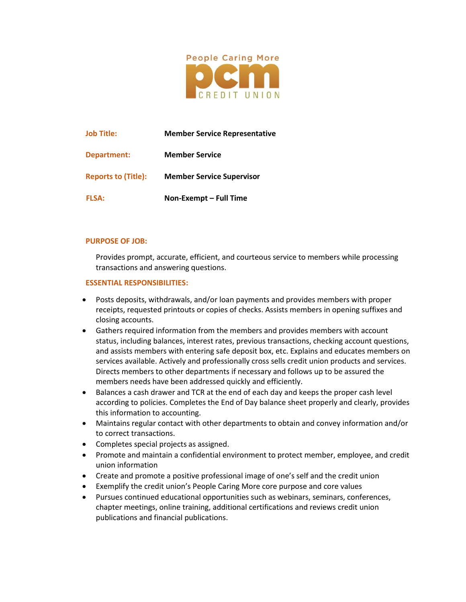

| <b>Job Title:</b>          | <b>Member Service Representative</b> |
|----------------------------|--------------------------------------|
| Department:                | <b>Member Service</b>                |
| <b>Reports to (Title):</b> | <b>Member Service Supervisor</b>     |
| <b>FLSA:</b>               | Non-Exempt - Full Time               |

## **PURPOSE OF JOB:**

Provides prompt, accurate, efficient, and courteous service to members while processing transactions and answering questions.

## **ESSENTIAL RESPONSIBILITIES:**

- Posts deposits, withdrawals, and/or loan payments and provides members with proper receipts, requested printouts or copies of checks. Assists members in opening suffixes and closing accounts.
- Gathers required information from the members and provides members with account status, including balances, interest rates, previous transactions, checking account questions, and assists members with entering safe deposit box, etc. Explains and educates members on services available. Actively and professionally cross sells credit union products and services. Directs members to other departments if necessary and follows up to be assured the members needs have been addressed quickly and efficiently.
- Balances a cash drawer and TCR at the end of each day and keeps the proper cash level according to policies. Completes the End of Day balance sheet properly and clearly, provides this information to accounting.
- Maintains regular contact with other departments to obtain and convey information and/or to correct transactions.
- Completes special projects as assigned.
- Promote and maintain a confidential environment to protect member, employee, and credit union information
- Create and promote a positive professional image of one's self and the credit union
- Exemplify the credit union's People Caring More core purpose and core values
- Pursues continued educational opportunities such as webinars, seminars, conferences, chapter meetings, online training, additional certifications and reviews credit union publications and financial publications.